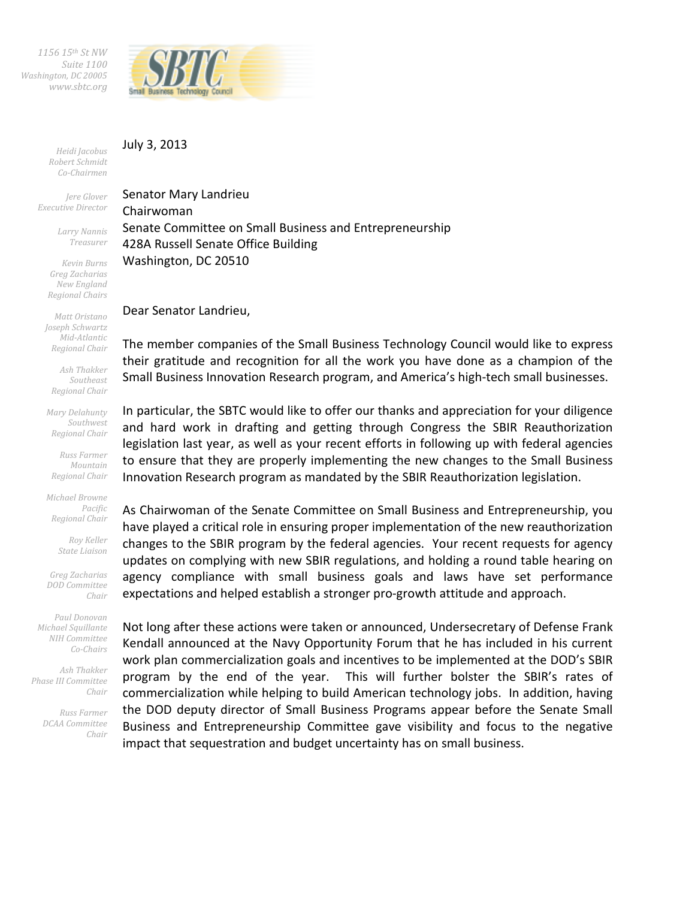*1156 15th St NW Suite 1100 Washington, DC 20005 www.sbtc.org* 



## July 3, 2013

*Heidi Jacobus Robert Schmidt Co-Chairmen* 

*Jere Glover Executive Director* 

> *Larry Nannis Treasurer*

*Kevin Burns Greg Zacharias New England Regional Chairs* 

*Matt Oristano Joseph Schwartz Mid-Atlantic Regional Chair* 

*Ash Thakker Southeast Regional Chair* 

*Mary Delahunty Southwest Regional Chair* 

*Russ Farmer Mountain Regional Chair* 

*Michael Browne Pacific Regional Chair* 

> *Roy Keller State Liaison*

*Greg Zacharias DOD Committee Chair* 

*Paul Donovan Michael Squillante NIH Committee Co-Chairs* 

*Ash Thakker Phase III Committee Chair* 

> *Russ Farmer DCAA Committee Chair*

Senator Mary Landrieu Chairwoman Senate Committee on Small Business and Entrepreneurship 428A Russell Senate Office Building Washington, DC 20510

Dear Senator Landrieu,

The member companies of the Small Business Technology Council would like to express their gratitude and recognition for all the work you have done as a champion of the Small Business Innovation Research program, and America's high-tech small businesses.

In particular, the SBTC would like to offer our thanks and appreciation for your diligence and hard work in drafting and getting through Congress the SBIR Reauthorization legislation last year, as well as your recent efforts in following up with federal agencies to ensure that they are properly implementing the new changes to the Small Business Innovation Research program as mandated by the SBIR Reauthorization legislation.

As Chairwoman of the Senate Committee on Small Business and Entrepreneurship, you have played a critical role in ensuring proper implementation of the new reauthorization changes to the SBIR program by the federal agencies. Your recent requests for agency updates on complying with new SBIR regulations, and holding a round table hearing on agency compliance with small business goals and laws have set performance expectations and helped establish a stronger pro-growth attitude and approach.

Not long after these actions were taken or announced, Undersecretary of Defense Frank Kendall announced at the Navy Opportunity Forum that he has included in his current work plan commercialization goals and incentives to be implemented at the DOD's SBIR program by the end of the year. This will further bolster the SBIR's rates of commercialization while helping to build American technology jobs. In addition, having the DOD deputy director of Small Business Programs appear before the Senate Small Business and Entrepreneurship Committee gave visibility and focus to the negative impact that sequestration and budget uncertainty has on small business.